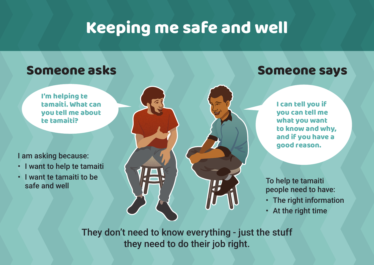## Keeping me safe and well

## Someone asks Someone says

I'm helping te tamaiti. What can you tell me about te tamaiti?

I am asking because:

- I want to help te tamaiti
- I want te tamaiti to be



I can tell you if you can tell me what you want to know and why, and if you have a good reason.

people need to have:

- The right information
- At the right time

They don't need to know everything - just the stuff they need to do their job right.